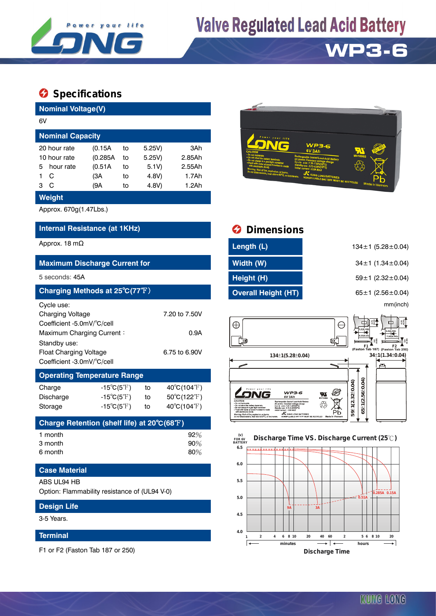

## **Valve Regulated Lead Acid Battery**

## **WP3-6**

### **Specifications**

| <b>Nominal Voltage(V)</b>                                                                 |                                                                                        |                            |                                             |                                                           |  |  |  |  |
|-------------------------------------------------------------------------------------------|----------------------------------------------------------------------------------------|----------------------------|---------------------------------------------|-----------------------------------------------------------|--|--|--|--|
| 6V                                                                                        |                                                                                        |                            |                                             |                                                           |  |  |  |  |
| <b>Nominal Capacity</b>                                                                   |                                                                                        |                            |                                             |                                                           |  |  |  |  |
| 20 hour rate<br>10 hour rate<br>hour rate<br>5<br>C<br>1<br>C<br>3<br>Weight              | (0.15A<br>(0.285A)<br>(0.51A)<br>(3A<br>(9A                                            | to<br>t٥<br>to<br>to<br>to | 5.25V)<br>5.25V)<br>5.1V)<br>4.8V)<br>4.8V) | 3Ah<br>2.85Ah<br>2.55Ah<br>1.7Ah<br>1.2Ah                 |  |  |  |  |
| Approx. 670g(1.47Lbs.)                                                                    |                                                                                        |                            |                                             |                                                           |  |  |  |  |
| <b>Internal Resistance (at 1KHz)</b>                                                      |                                                                                        |                            |                                             |                                                           |  |  |  |  |
| Approx. 18 m $\Omega$                                                                     |                                                                                        |                            |                                             |                                                           |  |  |  |  |
| <b>Maximum Discharge Current for</b>                                                      |                                                                                        |                            |                                             |                                                           |  |  |  |  |
| 5 seconds: 45A                                                                            |                                                                                        |                            |                                             |                                                           |  |  |  |  |
| Charging Methods at 25°C(77°F)                                                            |                                                                                        |                            |                                             |                                                           |  |  |  |  |
| Cycle use:<br>Charging Voltage<br>Coefficient -5.0mV/°C/cell<br>Maximum Charging Current: |                                                                                        |                            | 7.20 to 7.50V<br>0.9A                       |                                                           |  |  |  |  |
| Standby use:<br><b>Float Charging Voltage</b><br>Coefficient -3.0mV/°C/cell               |                                                                                        |                            | 6.75 to 6.90V                               |                                                           |  |  |  |  |
| <b>Operating Temperature Range</b>                                                        |                                                                                        |                            |                                             |                                                           |  |  |  |  |
| Charge<br>Discharge<br>Storage                                                            | $-15^{\circ}C(5^{\circ}F)$<br>$-15^{\circ}C(5^{\circ}F)$<br>$-15^{\circ}C(5^{\circ}F)$ |                            | to<br>to<br>to                              | $40^{\circ}C(104^{\circ}F)$<br>50°C(122°F)<br>40°C(104°F) |  |  |  |  |
| Charge Retention (shelf life) at 20°C(68°F)                                               |                                                                                        |                            |                                             |                                                           |  |  |  |  |
| 1 month<br>3 month<br>6 month                                                             |                                                                                        |                            |                                             | $92\%$<br>90%<br>80%                                      |  |  |  |  |

### **Case Material**

#### ABS UL94 HB

Option: Flammability resistance of (UL94 V-0)

| <b>Design Life</b> |  |
|--------------------|--|
| 3-5 Years.         |  |

### **Terminal**

F1 or F2 (Faston Tab 187 or 250)



## *<u>Dimensions</u>* **Length (L)** 134±1 (5.28±0.04) **Width (W)** 34±1 (1.34±0.04) **Height (H)** 59±1 (2.32±0.04) **Charging Methods at 27° Theory 65±1 (2.56±0.04)** 65±1 (2.56±0.04) mm(inch)